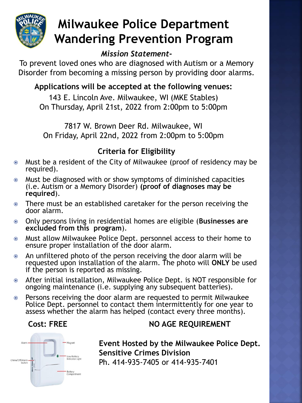

# **Milwaukee Police Department Wandering Prevention Program**

# *Mission Statement-*

To prevent loved ones who are diagnosed with Autism or a Memory Disorder from becoming a missing person by providing door alarms.

# **Applications will be accepted at the following venues:**

143 E. Lincoln Ave. Milwaukee, WI (MKE Stables) On Thursday, April 21st, 2022 from 2:00pm to 5:00pm

7817 W. Brown Deer Rd. Milwaukee, WI On Friday, April 22nd, 2022 from 2:00pm to 5:00pm

# **Criteria for Eligibility**

- Must be a resident of the City of Milwaukee (proof of residency may be required).
- Must be diagnosed with or show symptoms of diminished capacities (i.e. Autism or a Memory Disorder) **(proof of diagnoses may be required**).
- There must be an established caretaker for the person receiving the door alarm.
- Only persons living in residential homes are eligible (**Businesses are excluded from this program**).
- Must allow Milwaukee Police Dept. personnel access to their home to ensure proper installation of the door alarm.
- An unfiltered photo of the person receiving the door alarm will be requested upon installation of the alarm. The photo will **ONLY** be used if the person is reported as missing.
- After initial installation, Milwaukee Police Dept. is NOT responsible for ongoing maintenance (i.e. supplying any subsequent batteries).
- Persons receiving the door alarm are requested to permit Milwaukee Police Dept. personnel to contact them intermittently for one year to assess whether the alarm has helped (contact every three months).

# **Cost: FREE NO AGE REQUIREMENT**



**Event Hosted by the Milwaukee Police Dept. Sensitive Crimes Division**  Ph. 414-935-7405 or 414-935-7401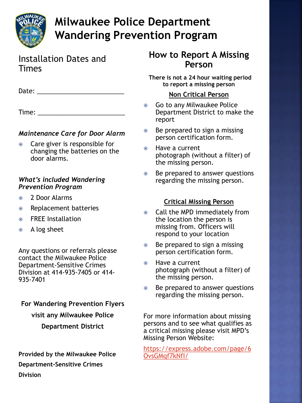

# **Milwaukee Police Department Wandering Prevention Program**

### Installation Dates and Times

| Date: |  |  |  |
|-------|--|--|--|
|       |  |  |  |

Time: \_\_\_\_\_\_\_\_\_\_\_

### *Maintenance Care for Door Alarm*

• Care giver is responsible for changing the batteries on the door alarms.

#### *What's included Wandering Prevention Program*

- 2 Door Alarms
- Replacement batteries
- **◎** FREE Installation
- A log sheet

Any questions or referrals please contact the Milwaukee Police Department-Sensitive Crimes Division at 414-935-7405 or 414- 935-7401

**For Wandering Prevention Flyers visit any Milwaukee Police Department District**

**Provided by the Milwaukee Police Department-Sensitive Crimes Division** 

## **How to Report A Missing Person**

**There is not a 24 hour waiting period to report a missing person**

### **Non Critical Person**

- Go to any Milwaukee Police Department District to make the report
- Be prepared to sign a missing person certification form.
- Have a current photograph (without a filter) of the missing person.
- Be prepared to answer questions regarding the missing person.

### **Critical Missing Person**

- Call the MPD immediately from the location the person is missing from. Officers will respond to your location
- **■** Be prepared to sign a missing person certification form.
- Have a current photograph (without a filter) of the missing person.
- Be prepared to answer questions regarding the missing person.

For more information about missing persons and to see what qualifies as a critical missing please visit MPD's Missing Person Website:

[https://express.adobe.com/page/6](https://express.adobe.com/page/6OvsGMqf7kNfI/) OvsGMqf7kNfI/